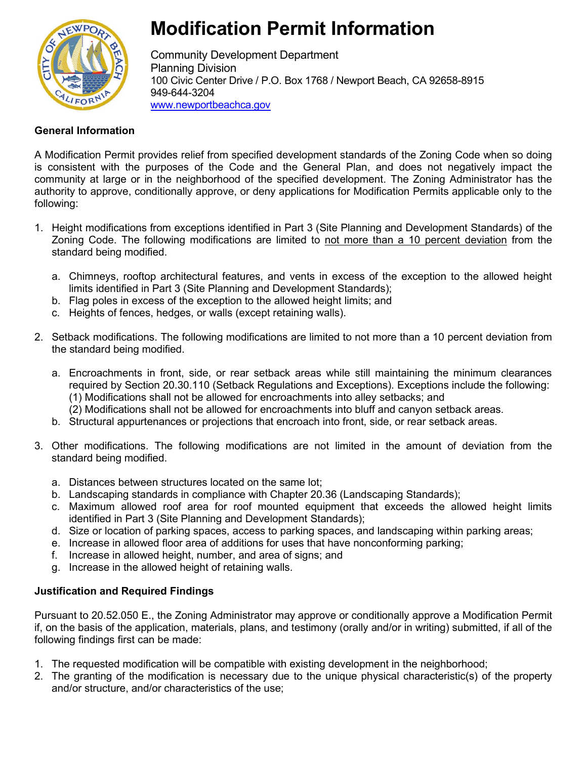

# **Modification Permit Information**

Community Development Department Planning Division 100 Civic Center Drive / P.O. Box 1768 / Newport Beach, CA 92658-8915 949-644-3204 [www.newportbeachca.gov](http://www.newportbeachca.gov/)

## **General Information**

A Modification Permit provides relief from specified development standards of the Zoning Code when so doing is consistent with the purposes of the Code and the General Plan, and does not negatively impact the community at large or in the neighborhood of the specified development. The Zoning Administrator has the authority to approve, conditionally approve, or deny applications for Modification Permits applicable only to the following:

- 1. Height modifications from exceptions identified in Part 3 (Site Planning and Development Standards) of the Zoning Code. The following modifications are limited to not more than a 10 percent deviation from the standard being modified.
	- a. Chimneys, rooftop architectural features, and vents in excess of the exception to the allowed height limits identified in Part 3 (Site Planning and Development Standards);
	- b. Flag poles in excess of the exception to the allowed height limits; and
	- c. Heights of fences, hedges, or walls (except retaining walls).
- 2. Setback modifications. The following modifications are limited to not more than a 10 percent deviation from the standard being modified.
	- a. Encroachments in front, side, or rear setback areas while still maintaining the minimum clearances required by Section 20.30.110 (Setback Regulations and Exceptions). Exceptions include the following: (1) Modifications shall not be allowed for encroachments into alley setbacks; and
		- (2) Modifications shall not be allowed for encroachments into bluff and canyon setback areas.
	- b. Structural appurtenances or projections that encroach into front, side, or rear setback areas.
- 3. Other modifications. The following modifications are not limited in the amount of deviation from the standard being modified.
	- a. Distances between structures located on the same lot;
	- b. Landscaping standards in compliance with Chapter 20.36 (Landscaping Standards);
	- c. Maximum allowed roof area for roof mounted equipment that exceeds the allowed height limits identified in Part 3 (Site Planning and Development Standards);
	- d. Size or location of parking spaces, access to parking spaces, and landscaping within parking areas;
	- e. Increase in allowed floor area of additions for uses that have nonconforming parking;
	- f. Increase in allowed height, number, and area of signs; and
	- g. Increase in the allowed height of retaining walls.

## **Justification and Required Findings**

Pursuant to 20.52.050 E., the Zoning Administrator may approve or conditionally approve a Modification Permit if, on the basis of the application, materials, plans, and testimony (orally and/or in writing) submitted, if all of the following findings first can be made:

- 1. The requested modification will be compatible with existing development in the neighborhood;
- 2. The granting of the modification is necessary due to the unique physical characteristic(s) of the property and/or structure, and/or characteristics of the use;